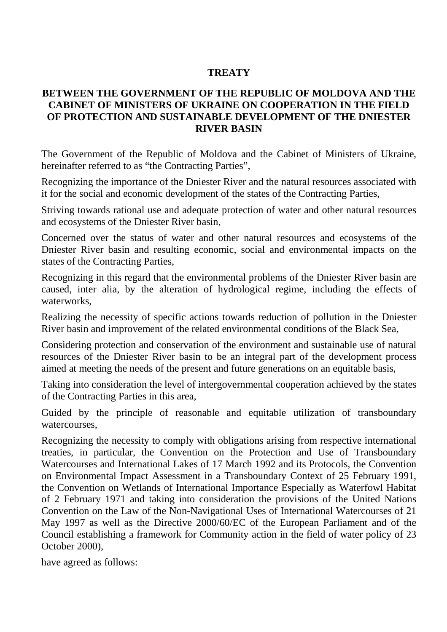#### **TREATY**

#### **BETWEEN THE GOVERNMENT OF THE REPUBLIC OF MOLDOVA AND THE CABINET OF MINISTERS OF UKRAINE ON COOPERATION IN THE FIELD OF PROTECTION AND SUSTAINABLE DEVELOPMENT OF THE DNIESTER RIVER BASIN**

The Government of the Republic of Moldova and the Cabinet of Ministers of Ukraine, hereinafter referred to as "the Contracting Parties",

Recognizing the importance of the Dniester River and the natural resources associated with it for the social and economic development of the states of the Contracting Parties,

Striving towards rational use and adequate protection of water and other natural resources and ecosystems of the Dniester River basin,

Concerned over the status of water and other natural resources and ecosystems of the Dniester River basin and resulting economic, social and environmental impacts on the states of the Contracting Parties,

Recognizing in this regard that the environmental problems of the Dniester River basin are caused, inter alia, by the alteration of hydrological regime, including the effects of waterworks,

Realizing the necessity of specific actions towards reduction of pollution in the Dniester River basin and improvement of the related environmental conditions of the Black Sea,

Considering protection and conservation of the environment and sustainable use of natural resources of the Dniester River basin to be an integral part of the development process aimed at meeting the needs of the present and future generations on an equitable basis,

Taking into consideration the level of intergovernmental cooperation achieved by the states of the Contracting Parties in this area,

Guided by the principle of reasonable and equitable utilization of transboundary watercourses,

Recognizing the necessity to comply with obligations arising from respective international treaties, in particular, the Convention on the Protection and Use of Transboundary Watercourses and International Lakes of 17 March 1992 and its Protocols, the Convention on Environmental Impact Assessment in a Transboundary Context of 25 February 1991, the Convention on Wetlands of International Importance Especially as Waterfowl Habitat of 2 February 1971 and taking into consideration the provisions of the United Nations Convention on the Law of the Non-Navigational Uses of International Watercourses of 21 May 1997 as well as the Directive 2000/60/EC of the European Parliament and of the Council establishing a framework for Community action in the field of water policy of 23 October 2000),

have agreed as follows: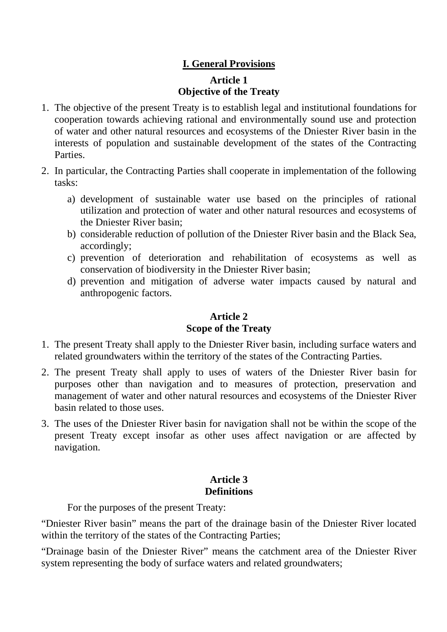# **I. General Provisions Article 1 Objective of the Treaty**

- 1. The objective of the present Treaty is to establish legal and institutional foundations for cooperation towards achieving rational and environmentally sound use and protection of water and other natural resources and ecosystems of the Dniester River basin in the interests of population and sustainable development of the states of the Contracting Parties.
- 2. In particular, the Contracting Parties shall cooperate in implementation of the following tasks:
	- a) development of sustainable water use based on the principles of rational utilization and protection of water and other natural resources and ecosystems of the Dniester River basin;
	- b) considerable reduction of pollution of the Dniester River basin and the Black Sea, accordingly;
	- c) prevention of deterioration and rehabilitation of ecosystems as well as conservation of biodiversity in the Dniester River basin;
	- d) prevention and mitigation of adverse water impacts caused by natural and anthropogenic factors.

## **Article 2 Scope of the Treaty**

- 1. The present Treaty shall apply to the Dniester River basin, including surface waters and related groundwaters within the territory of the states of the Contracting Parties.
- 2. The present Treaty shall apply to uses of waters of the Dniester River basin for purposes other than navigation and to measures of protection, preservation and management of water and other natural resources and ecosystems of the Dniester River basin related to those uses.
- 3. The uses of the Dniester River basin for navigation shall not be within the scope of the present Treaty except insofar as other uses affect navigation or are affected by navigation.

# **Article 3 Definitions**

For the purposes of the present Treaty:

"Dniester River basin" means the part of the drainage basin of the Dniester River located within the territory of the states of the Contracting Parties;

"Drainage basin of the Dniester River" means the catchment area of the Dniester River system representing the body of surface waters and related groundwaters;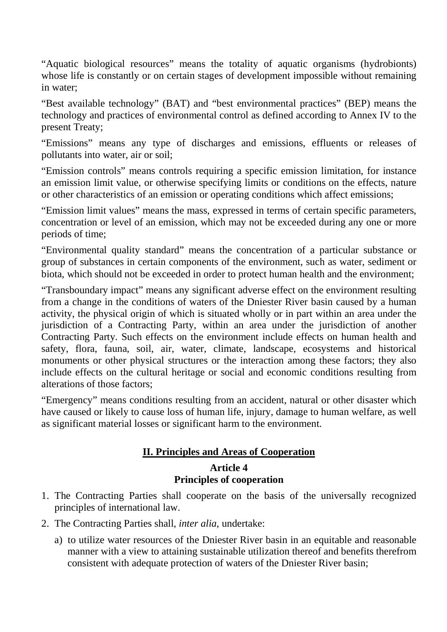"Aquatic biological resources" means the totality of aquatic organisms (hydrobionts) whose life is constantly or on certain stages of development impossible without remaining in water;

"Best available technology" (BAT) and "best environmental practices" (BEP) means the technology and practices of environmental control as defined according to Annex IV to the present Treaty;

"Emissions" means any type of discharges and emissions, effluents or releases of pollutants into water, air or soil;

"Emission controls" means controls requiring a specific emission limitation, for instance an emission limit value, or otherwise specifying limits or conditions on the effects, nature or other characteristics of an emission or operating conditions which affect emissions;

"Emission limit values" means the mass, expressed in terms of certain specific parameters, concentration or level of an emission, which may not be exceeded during any one or more periods of time;

"Environmental quality standard" means the concentration of a particular substance or group of substances in certain components of the environment, such as water, sediment or biota, which should not be exceeded in order to protect human health and the environment;

"Transboundary impact" means any significant adverse effect on the environment resulting from a change in the conditions of waters of the Dniester River basin caused by a human activity, the physical origin of which is situated wholly or in part within an area under the jurisdiction of a Contracting Party, within an area under the jurisdiction of another Contracting Party. Such effects on the environment include effects on human health and safety, flora, fauna, soil, air, water, climate, landscape, ecosystems and historical monuments or other physical structures or the interaction among these factors; they also include effects on the cultural heritage or social and economic conditions resulting from alterations of those factors;

"Emergency" means conditions resulting from an accident, natural or other disaster which have caused or likely to cause loss of human life, injury, damage to human welfare, as well as significant material losses or significant harm to the environment.

# **II. Principles and Areas of Cooperation**

#### **Article 4 Principles of cooperation**

- 1. The Contracting Parties shall cooperate on the basis of the universally recognized principles of international law.
- 2. The Contracting Parties shall, *inter alia*, undertake:
	- a) to utilize water resources of the Dniester River basin in an equitable and reasonable manner with a view to attaining sustainable utilization thereof and benefits therefrom consistent with adequate protection of waters of the Dniester River basin;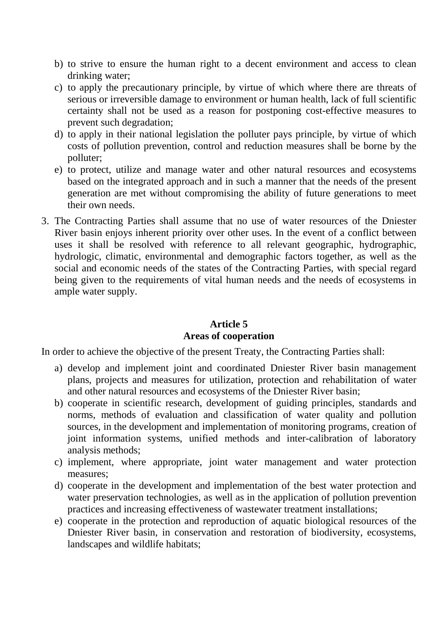- b) to strive to ensure the human right to a decent environment and access to clean drinking water;
- c) to apply the precautionary principle, by virtue of which where there are threats of serious or irreversible damage to environment or human health, lack of full scientific certainty shall not be used as a reason for postponing cost-effective measures to prevent such degradation;
- d) to apply in their national legislation the polluter pays principle, by virtue of which costs of pollution prevention, control and reduction measures shall be borne by the polluter;
- e) to protect, utilize and manage water and other natural resources and ecosystems based on the integrated approach and in such a manner that the needs of the present generation are met without compromising the ability of future generations to meet their own needs.
- 3. The Contracting Parties shall assume that no use of water resources of the Dniester River basin enjoys inherent priority over other uses. In the event of a conflict between uses it shall be resolved with reference to all relevant geographic, hydrographic, hydrologic, climatic, environmental and demographic factors together, as well as the social and economic needs of the states of the Contracting Parties, with special regard being given to the requirements of vital human needs and the needs of ecosystems in ample water supply.

# **Article 5 Areas of cooperation**

In order to achieve the objective of the present Treaty, the Contracting Parties shall:

- a) develop and implement joint and coordinated Dniester River basin management plans, projects and measures for utilization, protection and rehabilitation of water and other natural resources and ecosystems of the Dniester River basin;
- b) cooperate in scientific research, development of guiding principles, standards and norms, methods of evaluation and classification of water quality and pollution sources, in the development and implementation of monitoring programs, creation of joint information systems, unified methods and inter-calibration of laboratory analysis methods;
- c) implement, where appropriate, joint water management and water protection measures;
- d) cooperate in the development and implementation of the best water protection and water preservation technologies, as well as in the application of pollution prevention practices and increasing effectiveness of wastewater treatment installations;
- e) cooperate in the protection and reproduction of aquatic biological resources of the Dniester River basin, in conservation and restoration of biodiversity, ecosystems, landscapes and wildlife habitats;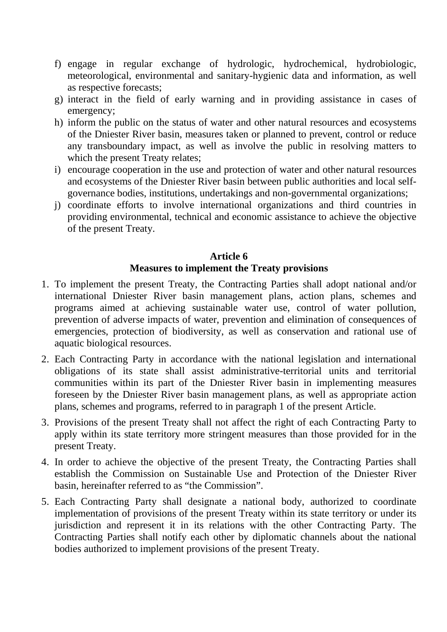- f) engage in regular exchange of hydrologic, hydrochemical, hydrobiologic, meteorological, environmental and sanitary-hygienic data and information, as well as respective forecasts;
- g) interact in the field of early warning and in providing assistance in cases of emergency;
- h) inform the public on the status of water and other natural resources and ecosystems of the Dniester River basin, measures taken or planned to prevent, control or reduce any transboundary impact, as well as involve the public in resolving matters to which the present Treaty relates;
- i) encourage cooperation in the use and protection of water and other natural resources and ecosystems of the Dniester River basin between public authorities and local selfgovernance bodies, institutions, undertakings and non-governmental organizations;
- j) coordinate efforts to involve international organizations and third countries in providing environmental, technical and economic assistance to achieve the objective of the present Treaty.

### **Article 6 Measures to implement the Treaty provisions**

- 1. To implement the present Treaty, the Contracting Parties shall adopt national and/or international Dniester River basin management plans, action plans, schemes and programs aimed at achieving sustainable water use, control of water pollution, prevention of adverse impacts of water, prevention and elimination of consequences of emergencies, protection of biodiversity, as well as conservation and rational use of aquatic biological resources.
- 2. Each Contracting Party in accordance with the national legislation and international obligations of its state shall assist administrative-territorial units and territorial communities within its part of the Dniester River basin in implementing measures foreseen by the Dniester River basin management plans, as well as appropriate action plans, schemes and programs, referred to in paragraph 1 of the present Article.
- 3. Provisions of the present Treaty shall not affect the right of each Contracting Party to apply within its state territory more stringent measures than those provided for in the present Treaty.
- 4. In order to achieve the objective of the present Treaty, the Contracting Parties shall establish the Commission on Sustainable Use and Protection of the Dniester River basin, hereinafter referred to as "the Commission".
- 5. Each Contracting Party shall designate a national body, authorized to coordinate implementation of provisions of the present Treaty within its state territory or under its jurisdiction and represent it in its relations with the other Contracting Party. The Contracting Parties shall notify each other by diplomatic channels about the national bodies authorized to implement provisions of the present Treaty.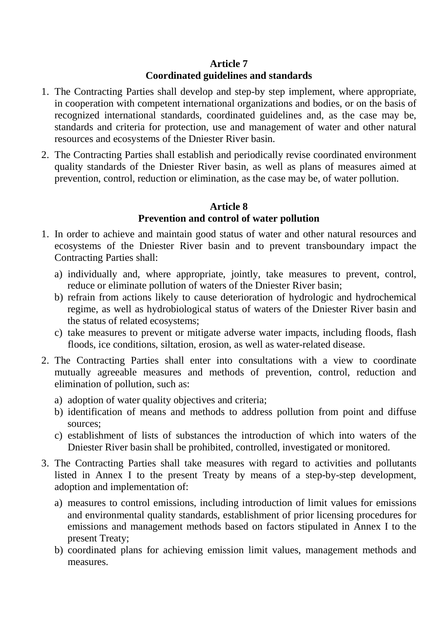### **Article 7 Coordinated guidelines and standards**

- 1. The Contracting Parties shall develop and step-by step implement, where appropriate, in cooperation with competent international organizations and bodies, or on the basis of recognized international standards, coordinated guidelines and, as the case may be, standards and criteria for protection, use and management of water and other natural resources and ecosystems of the Dniester River basin.
- 2. The Contracting Parties shall establish and periodically revise coordinated environment quality standards of the Dniester River basin, as well as plans of measures aimed at prevention, control, reduction or elimination, as the case may be, of water pollution.

## **Article 8 Prevention and control of water pollution**

- 1. In order to achieve and maintain good status of water and other natural resources and ecosystems of the Dniester River basin and to prevent transboundary impact the Contracting Parties shall:
	- a) individually and, where appropriate, jointly, take measures to prevent, control, reduce or eliminate pollution of waters of the Dniester River basin;
	- b) refrain from actions likely to cause deterioration of hydrologic and hydrochemical regime, as well as hydrobiological status of waters of the Dniester River basin and the status of related ecosystems;
	- c) take measures to prevent or mitigate adverse water impacts, including floods, flash floods, ice conditions, siltation, erosion, as well as water-related disease.
- 2. The Contracting Parties shall enter into consultations with a view to coordinate mutually agreeable measures and methods of prevention, control, reduction and elimination of pollution, such as:
	- a) adoption of water quality objectives and criteria;
	- b) identification of means and methods to address pollution from point and diffuse sources;
	- c) establishment of lists of substances the introduction of which into waters of the Dniester River basin shall be prohibited, controlled, investigated or monitored.
- 3. The Contracting Parties shall take measures with regard to activities and pollutants listed in Annex I to the present Treaty by means of a step-by-step development, adoption and implementation of:
	- a) measures to control emissions, including introduction of limit values for emissions and environmental quality standards, establishment of prior licensing procedures for emissions and management methods based on factors stipulated in Annex I to the present Treaty;
	- b) coordinated plans for achieving emission limit values, management methods and measures.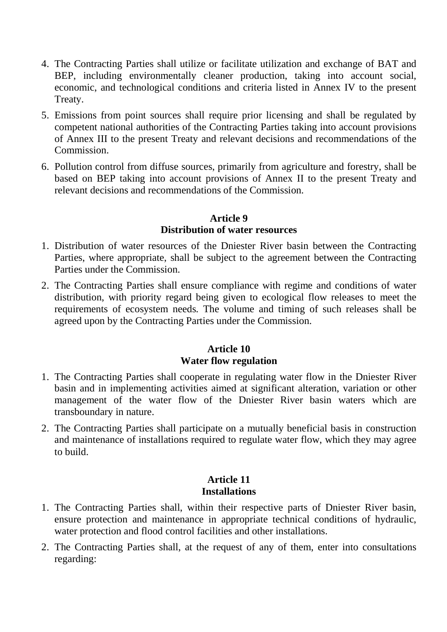- 4. The Contracting Parties shall utilize or facilitate utilization and exchange of BAT and BEP, including environmentally cleaner production, taking into account social, economic, and technological conditions and criteria listed in Annex IV to the present Treaty.
- 5. Emissions from point sources shall require prior licensing and shall be regulated by competent national authorities of the Contracting Parties taking into account provisions of Annex III to the present Treaty and relevant decisions and recommendations of the Commission.
- 6. Pollution control from diffuse sources, primarily from agriculture and forestry, shall be based on BEP taking into account provisions of Annex II to the present Treaty and relevant decisions and recommendations of the Commission.

#### **Article 9 Distribution of water resources**

- 1. Distribution of water resources of the Dniester River basin between the Contracting Parties, where appropriate, shall be subject to the agreement between the Contracting Parties under the Commission.
- 2. The Contracting Parties shall ensure compliance with regime and conditions of water distribution, with priority regard being given to ecological flow releases to meet the requirements of ecosystem needs. The volume and timing of such releases shall be agreed upon by the Contracting Parties under the Commission.

# **Article 10 Water flow regulation**

- 1. The Contracting Parties shall cooperate in regulating water flow in the Dniester River basin and in implementing activities aimed at significant alteration, variation or other management of the water flow of the Dniester River basin waters which are transboundary in nature.
- 2. The Contracting Parties shall participate on a mutually beneficial basis in construction and maintenance of installations required to regulate water flow, which they may agree to build.

## **Article 11 Installations**

- 1. The Contracting Parties shall, within their respective parts of Dniester River basin, ensure protection and maintenance in appropriate technical conditions of hydraulic, water protection and flood control facilities and other installations.
- 2. The Contracting Parties shall, at the request of any of them, enter into consultations regarding: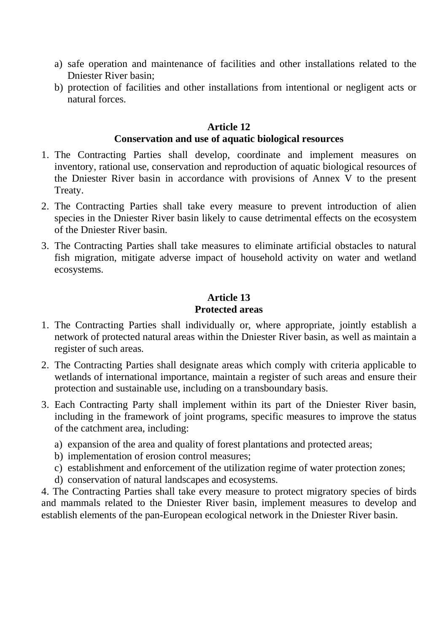- a) safe operation and maintenance of facilities and other installations related to the Dniester River basin;
- b) protection of facilities and other installations from intentional or negligent acts or natural forces.

#### **Article 12 Conservation and use of aquatic biological resources**

- 1. The Contracting Parties shall develop, coordinate and implement measures on inventory, rational use, conservation and reproduction of aquatic biological resources of the Dniester River basin in accordance with provisions of Annex V to the present Treaty.
- 2. The Contracting Parties shall take every measure to prevent introduction of alien species in the Dniester River basin likely to cause detrimental effects on the ecosystem of the Dniester River basin.
- 3. The Contracting Parties shall take measures to eliminate artificial obstacles to natural fish migration, mitigate adverse impact of household activity on water and wetland ecosystems.

## **Article 13 Protected areas**

- 1. The Contracting Parties shall individually or, where appropriate, jointly establish a network of protected natural areas within the Dniester River basin, as well as maintain a register of such areas.
- 2. The Contracting Parties shall designate areas which comply with criteria applicable to wetlands of international importance, maintain a register of such areas and ensure their protection and sustainable use, including on a transboundary basis.
- 3. Each Contracting Party shall implement within its part of the Dniester River basin, including in the framework of joint programs, specific measures to improve the status of the catchment area, including:
	- a) expansion of the area and quality of forest plantations and protected areas;
	- b) implementation of erosion control measures;
	- c) establishment and enforcement of the utilization regime of water protection zones;
	- d) conservation of natural landscapes and ecosystems.

4. The Contracting Parties shall take every measure to protect migratory species of birds and mammals related to the Dniester River basin, implement measures to develop and establish elements of the pan-European ecological network in the Dniester River basin.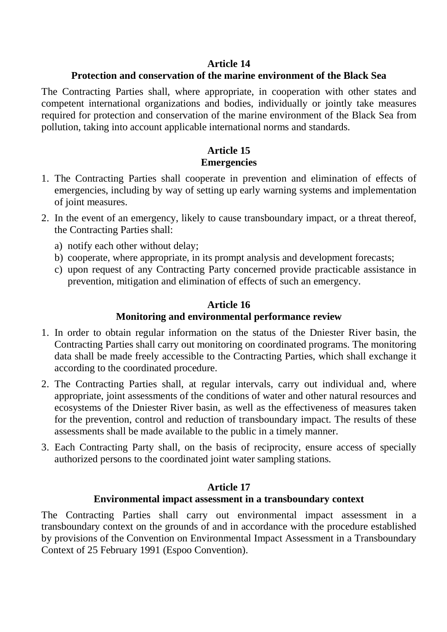### **Article 14**

## **Protection and conservation of the marine environment of the Black Sea**

The Contracting Parties shall, where appropriate, in cooperation with other states and competent international organizations and bodies, individually or jointly take measures required for protection and conservation of the marine environment of the Black Sea from pollution, taking into account applicable international norms and standards.

## **Article 15 Emergencies**

- 1. The Contracting Parties shall cooperate in prevention and elimination of effects of emergencies, including by way of setting up early warning systems and implementation of joint measures.
- 2. In the event of an emergency, likely to cause transboundary impact, or a threat thereof, the Contracting Parties shall:
	- a) notify each other without delay;
	- b) cooperate, where appropriate, in its prompt analysis and development forecasts;
	- c) upon request of any Contracting Party concerned provide practicable assistance in prevention, mitigation and elimination of effects of such an emergency.

### **Article 16**

### **Monitoring and environmental performance review**

- 1. In order to obtain regular information on the status of the Dniester River basin, the Contracting Parties shall carry out monitoring on coordinated programs. The monitoring data shall be made freely accessible to the Contracting Parties, which shall exchange it according to the coordinated procedure.
- 2. The Contracting Parties shall, at regular intervals, carry out individual and, where appropriate, joint assessments of the conditions of water and other natural resources and ecosystems of the Dniester River basin, as well as the effectiveness of measures taken for the prevention, control and reduction of transboundary impact. The results of these assessments shall be made available to the public in a timely manner.
- 3. Each Contracting Party shall, on the basis of reciprocity, ensure access of specially authorized persons to the coordinated joint water sampling stations.

### **Article 17**

### **Environmental impact assessment in a transboundary context**

The Contracting Parties shall carry out environmental impact assessment in a transboundary context on the grounds of and in accordance with the procedure established by provisions of the Convention on Environmental Impact Assessment in a Transboundary Context of 25 February 1991 (Espoo Convention).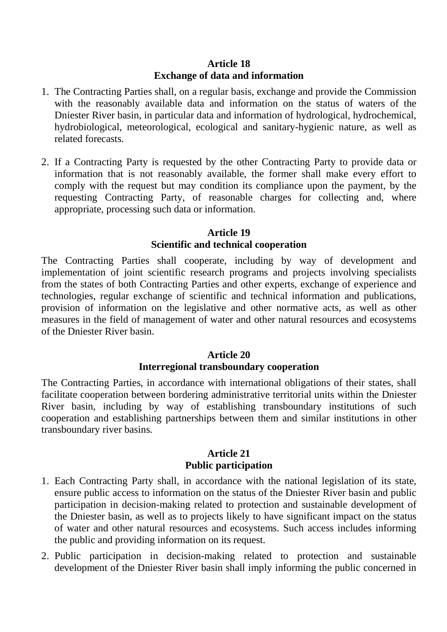#### **Article 18 Exchange of data and information**

- 1. The Contracting Parties shall, on a regular basis, exchange and provide the Commission with the reasonably available data and information on the status of waters of the Dniester River basin, in particular data and information of hydrological, hydrochemical, hydrobiological, meteorological, ecological and sanitary-hygienic nature, as well as related forecasts.
- 2. If a Contracting Party is requested by the other Contracting Party to provide data or information that is not reasonably available, the former shall make every effort to comply with the request but may condition its compliance upon the payment, by the requesting Contracting Party, of reasonable charges for collecting and, where appropriate, processing such data or information.

### **Article 19 Scientific and technical cooperation**

The Contracting Parties shall cooperate, including by way of development and implementation of joint scientific research programs and projects involving specialists from the states of both Contracting Parties and other experts, exchange of experience and technologies, regular exchange of scientific and technical information and publications, provision of information on the legislative and other normative acts, as well as other measures in the field of management of water and other natural resources and ecosystems of the Dniester River basin.

#### **Article 20 Interregional transboundary cooperation**

The Contracting Parties, in accordance with international obligations of their states, shall facilitate cooperation between bordering administrative territorial units within the Dniester River basin, including by way of establishing transboundary institutions of such cooperation and establishing partnerships between them and similar institutions in other transboundary river basins.

#### **Article 21 Public participation**

- 1. Each Contracting Party shall, in accordance with the national legislation of its state, ensure public access to information on the status of the Dniester River basin and public participation in decision-making related to protection and sustainable development of the Dniester basin, as well as to projects likely to have significant impact on the status of water and other natural resources and ecosystems. Such access includes informing the public and providing information on its request.
- 2. Public participation in decision-making related to protection and sustainable development of the Dniester River basin shall imply informing the public concerned in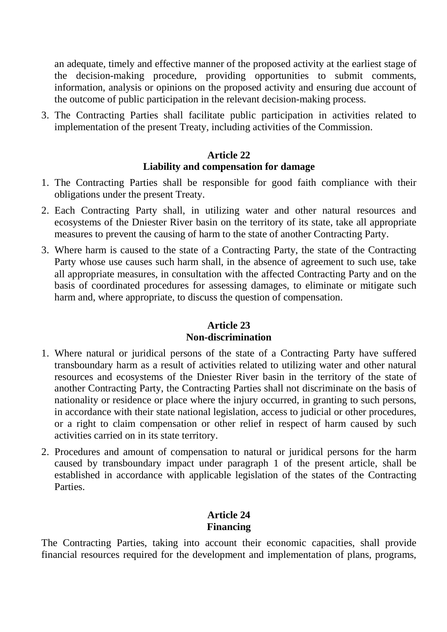an adequate, timely and effective manner of the proposed activity at the earliest stage of the decision-making procedure, providing opportunities to submit comments, information, analysis or opinions on the proposed activity and ensuring due account of the outcome of public participation in the relevant decision-making process.

3. The Contracting Parties shall facilitate public participation in activities related to implementation of the present Treaty, including activities of the Commission.

### **Article 22 Liability and compensation for damage**

- 1. The Contracting Parties shall be responsible for good faith compliance with their obligations under the present Treaty.
- 2. Each Contracting Party shall, in utilizing water and other natural resources and ecosystems of the Dniester River basin on the territory of its state, take all appropriate measures to prevent the causing of harm to the state of another Contracting Party.
- 3. Where harm is caused to the state of a Contracting Party, the state of the Contracting Party whose use causes such harm shall, in the absence of agreement to such use, take all appropriate measures, in consultation with the affected Contracting Party and on the basis of coordinated procedures for assessing damages, to eliminate or mitigate such harm and, where appropriate, to discuss the question of compensation.

#### **Article 23 Non-discrimination**

- 1. Where natural or juridical persons of the state of a Contracting Party have suffered transboundary harm as a result of activities related to utilizing water and other natural resources and ecosystems of the Dniester River basin in the territory of the state of another Contracting Party, the Contracting Parties shall not discriminate on the basis of nationality or residence or place where the injury occurred, in granting to such persons, in accordance with their state national legislation, access to judicial or other procedures, or a right to claim compensation or other relief in respect of harm caused by such activities carried on in its state territory.
- 2. Procedures and amount of compensation to natural or juridical persons for the harm caused by transboundary impact under paragraph 1 of the present article, shall be established in accordance with applicable legislation of the states of the Contracting Parties.

# **Article 24 Financing**

The Contracting Parties, taking into account their economic capacities, shall provide financial resources required for the development and implementation of plans, programs,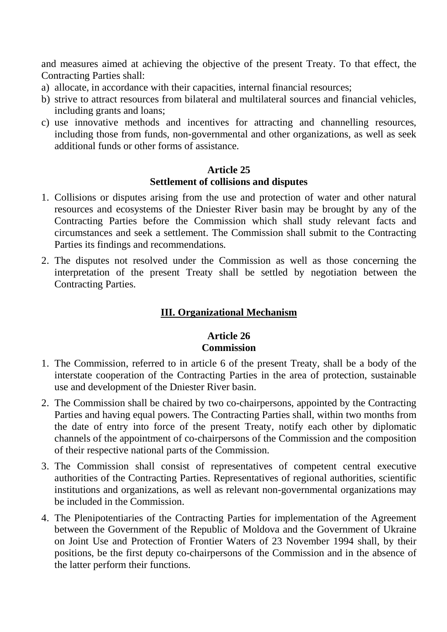and measures aimed at achieving the objective of the present Treaty. To that effect, the Contracting Parties shall:

- a) allocate, in accordance with their capacities, internal financial resources;
- b) strive to attract resources from bilateral and multilateral sources and financial vehicles, including grants and loans;
- c) use innovative methods and incentives for attracting and channelling resources, including those from funds, non-governmental and other organizations, as well as seek additional funds or other forms of assistance.

## **Article 25 Settlement of collisions and disputes**

- 1. Collisions or disputes arising from the use and protection of water and other natural resources and ecosystems of the Dniester River basin may be brought by any of the Contracting Parties before the Commission which shall study relevant facts and circumstances and seek a settlement. The Commission shall submit to the Contracting Parties its findings and recommendations.
- 2. The disputes not resolved under the Commission as well as those concerning the interpretation of the present Treaty shall be settled by negotiation between the Contracting Parties.

# **III. Organizational Mechanism**

### **Article 26 Commission**

- 1. The Commission, referred to in article 6 of the present Treaty, shall be a body of the interstate cooperation of the Contracting Parties in the area of protection, sustainable use and development of the Dniester River basin.
- 2. The Commission shall be chaired by two co-chairpersons, appointed by the Contracting Parties and having equal powers. The Contracting Parties shall, within two months from the date of entry into force of the present Treaty, notify each other by diplomatic channels of the appointment of co-chairpersons of the Commission and the composition of their respective national parts of the Commission.
- 3. The Commission shall consist of representatives of competent central executive authorities of the Contracting Parties. Representatives of regional authorities, scientific institutions and organizations, as well as relevant non-governmental organizations may be included in the Commission.
- 4. The Plenipotentiaries of the Contracting Parties for implementation of the Agreement between the Government of the Republic of Moldova and the Government of Ukraine on Joint Use and Protection of Frontier Waters of 23 November 1994 shall, by their positions, be the first deputy co-chairpersons of the Commission and in the absence of the latter perform their functions.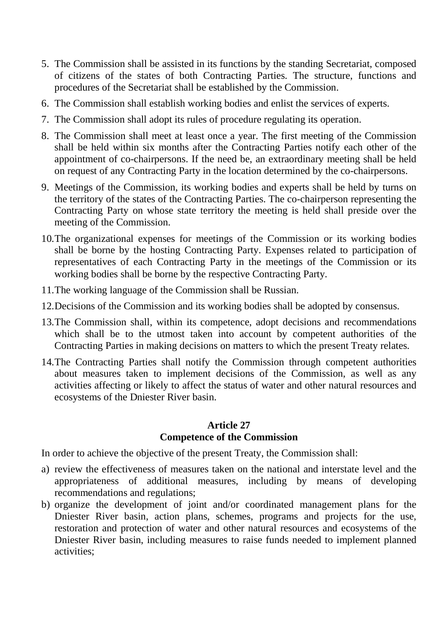- 5. The Commission shall be assisted in its functions by the standing Secretariat, composed of citizens of the states of both Contracting Parties. The structure, functions and procedures of the Secretariat shall be established by the Commission.
- 6. The Commission shall establish working bodies and enlist the services of experts.
- 7. The Commission shall adopt its rules of procedure regulating its operation.
- 8. The Commission shall meet at least once a year. The first meeting of the Commission shall be held within six months after the Contracting Parties notify each other of the appointment of co-chairpersons. If the need be, an extraordinary meeting shall be held on request of any Contracting Party in the location determined by the co-chairpersons.
- 9. Meetings of the Commission, its working bodies and experts shall be held by turns on the territory of the states of the Contracting Parties. The co-chairperson representing the Contracting Party on whose state territory the meeting is held shall preside over the meeting of the Commission.
- 10.The organizational expenses for meetings of the Commission or its working bodies shall be borne by the hosting Contracting Party. Expenses related to participation of representatives of each Contracting Party in the meetings of the Commission or its working bodies shall be borne by the respective Contracting Party.
- 11.The working language of the Commission shall be Russian.
- 12.Decisions of the Commission and its working bodies shall be adopted by consensus.
- 13.The Commission shall, within its competence, adopt decisions and recommendations which shall be to the utmost taken into account by competent authorities of the Contracting Parties in making decisions on matters to which the present Treaty relates.
- 14.The Contracting Parties shall notify the Commission through competent authorities about measures taken to implement decisions of the Commission, as well as any activities affecting or likely to affect the status of water and other natural resources and ecosystems of the Dniester River basin.

#### **Article 27 Competence of the Commission**

In order to achieve the objective of the present Treaty, the Commission shall:

- a) review the effectiveness of measures taken on the national and interstate level and the appropriateness of additional measures, including by means of developing recommendations and regulations;
- b) organize the development of joint and/or coordinated management plans for the Dniester River basin, action plans, schemes, programs and projects for the use, restoration and protection of water and other natural resources and ecosystems of the Dniester River basin, including measures to raise funds needed to implement planned activities;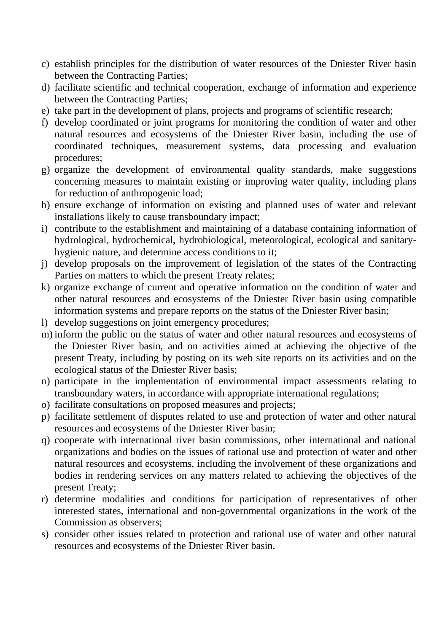- c) establish principles for the distribution of water resources of the Dniester River basin between the Contracting Parties;
- d) facilitate scientific and technical cooperation, exchange of information and experience between the Contracting Parties;
- e) take part in the development of plans, projects and programs of scientific research;
- f) develop coordinated or joint programs for monitoring the condition of water and other natural resources and ecosystems of the Dniester River basin, including the use of coordinated techniques, measurement systems, data processing and evaluation procedures;
- g) organize the development of environmental quality standards, make suggestions concerning measures to maintain existing or improving water quality, including plans for reduction of anthropogenic load;
- h) ensure exchange of information on existing and planned uses of water and relevant installations likely to cause transboundary impact;
- i) contribute to the establishment and maintaining of a database containing information of hydrological, hydrochemical, hydrobiological, meteorological, ecological and sanitaryhygienic nature, and determine access conditions to it;
- j) develop proposals on the improvement of legislation of the states of the Contracting Parties on matters to which the present Treaty relates;
- k) organize exchange of current and operative information on the condition of water and other natural resources and ecosystems of the Dniester River basin using compatible information systems and prepare reports on the status of the Dniester River basin;
- l) develop suggestions on joint emergency procedures;
- m) inform the public on the status of water and other natural resources and ecosystems of the Dniester River basin, and on activities aimed at achieving the objective of the present Treaty, including by posting on its web site reports on its activities and on the ecological status of the Dniester River basis;
- n) participate in the implementation of environmental impact assessments relating to transboundary waters, in accordance with appropriate international regulations;
- o) facilitate consultations on proposed measures and projects;
- p) facilitate settlement of disputes related to use and protection of water and other natural resources and ecosystems of the Dniester River basin;
- q) cooperate with international river basin commissions, other international and national organizations and bodies on the issues of rational use and protection of water and other natural resources and ecosystems, including the involvement of these organizations and bodies in rendering services on any matters related to achieving the objectives of the present Treaty;
- r) determine modalities and conditions for participation of representatives of other interested states, international and non-governmental organizations in the work of the Commission as observers;
- s) consider other issues related to protection and rational use of water and other natural resources and ecosystems of the Dniester River basin.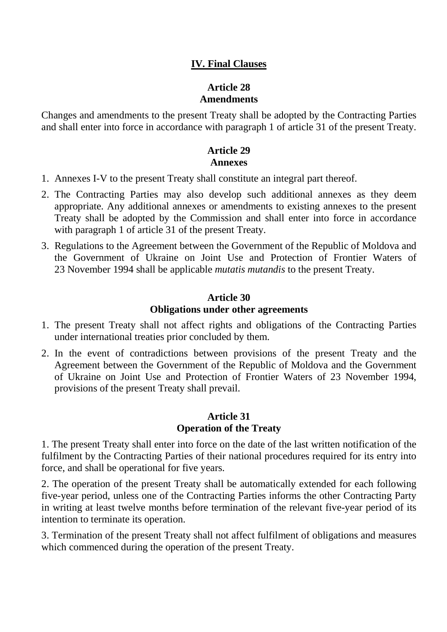## **IV. Final Clauses**

### **Article 28 Amendments**

Changes and amendments to the present Treaty shall be adopted by the Contracting Parties and shall enter into force in accordance with paragraph 1 of article 31 of the present Treaty.

# **Article 29 Annexes**

- 1. Annexes I-V to the present Treaty shall constitute an integral part thereof.
- 2. The Contracting Parties may also develop such additional annexes as they deem appropriate. Any additional annexes or amendments to existing annexes to the present Treaty shall be adopted by the Commission and shall enter into force in accordance with paragraph 1 of article 31 of the present Treaty.
- 3. Regulations to the Agreement between the Government of the Republic of Moldova and the Government of Ukraine on Joint Use and Protection of Frontier Waters of 23 November 1994 shall be applicable *mutatis mutandis* to the present Treaty.

## **Article 30 Obligations under other agreements**

- 1. The present Treaty shall not affect rights and obligations of the Contracting Parties under international treaties prior concluded by them.
- 2. In the event of contradictions between provisions of the present Treaty and the Agreement between the Government of the Republic of Moldova and the Government of Ukraine on Joint Use and Protection of Frontier Waters of 23 November 1994, provisions of the present Treaty shall prevail.

#### **Article 31 Operation of the Treaty**

1. The present Treaty shall enter into force on the date of the last written notification of the fulfilment by the Contracting Parties of their national procedures required for its entry into force, and shall be operational for five years.

2. The operation of the present Treaty shall be automatically extended for each following five-year period, unless one of the Contracting Parties informs the other Contracting Party in writing at least twelve months before termination of the relevant five-year period of its intention to terminate its operation.

3. Termination of the present Treaty shall not affect fulfilment of obligations and measures which commenced during the operation of the present Treaty.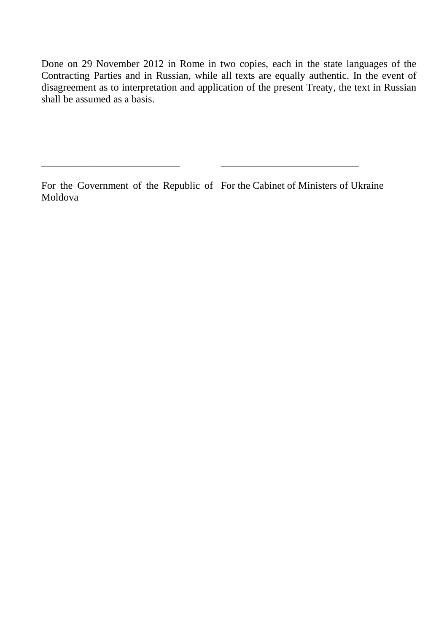Done on 29 November 2012 in Rome in two copies, each in the state languages of the Contracting Parties and in Russian, while all texts are equally authentic. In the event of disagreement as to interpretation and application of the present Treaty, the text in Russian shall be assumed as a basis.

\_\_\_\_\_\_\_\_\_\_\_\_\_\_\_\_\_\_\_\_\_\_\_\_\_\_\_

For the Government of the Republic of For the Cabinet of Ministers of Ukraine Moldova

\_\_\_\_\_\_\_\_\_\_\_\_\_\_\_\_\_\_\_\_\_\_\_\_\_\_\_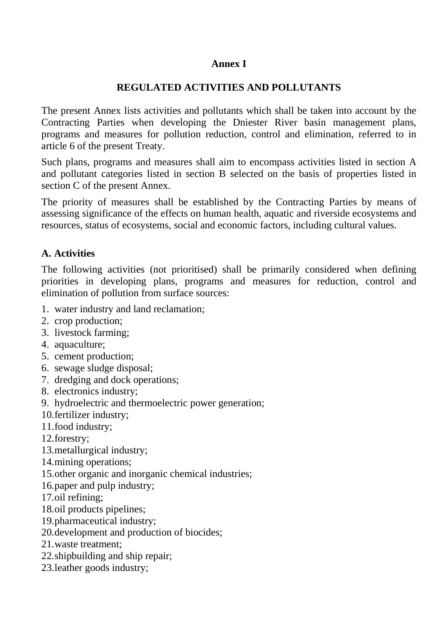#### **Annex I**

#### **REGULATED ACTIVITIES AND POLLUTANTS**

The present Annex lists activities and pollutants which shall be taken into account by the Contracting Parties when developing the Dniester River basin management plans, programs and measures for pollution reduction, control and elimination, referred to in article 6 of the present Treaty.

Such plans, programs and measures shall aim to encompass activities listed in section A and pollutant categories listed in section B selected on the basis of properties listed in section C of the present Annex.

The priority of measures shall be established by the Contracting Parties by means of assessing significance of the effects on human health, aquatic and riverside ecosystems and resources, status of ecosystems, social and economic factors, including cultural values.

### **A. Activities**

The following activities (not prioritised) shall be primarily considered when defining priorities in developing plans, programs and measures for reduction, control and elimination of pollution from surface sources:

- 1. water industry and land reclamation;
- 2. crop production;
- 3. livestock farming;
- 4. aquaculture;
- 5. cement production;
- 6. sewage sludge disposal;
- 7. dredging and dock operations;
- 8. electronics industry;
- 9. hydroelectric and thermoelectric power generation;
- 10.fertilizer industry;
- 11.food industry;
- 12.forestry;
- 13.metallurgical industry;
- 14.mining operations;
- 15.other organic and inorganic chemical industries;
- 16.paper and pulp industry;
- 17.oil refining;
- 18.oil products pipelines;
- 19.pharmaceutical industry;
- 20.development and production of biocides;
- 21.waste treatment;
- 22.shipbuilding and ship repair;
- 23.leather goods industry;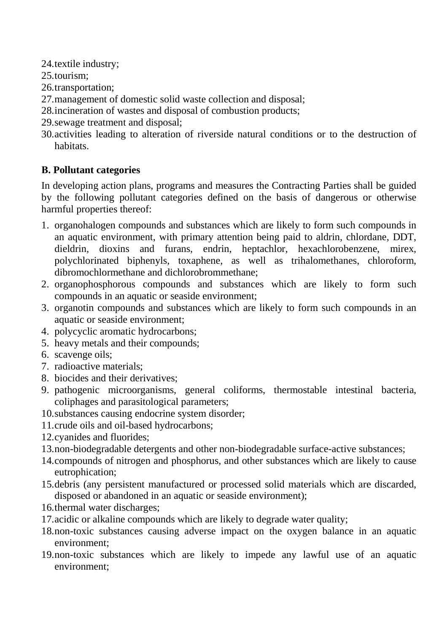24.textile industry;

25.tourism;

26.transportation;

- 27.management of domestic solid waste collection and disposal;
- 28.incineration of wastes and disposal of combustion products;
- 29.sewage treatment and disposal;
- 30.activities leading to alteration of riverside natural conditions or to the destruction of habitats.

# **В. Pollutant categories**

In developing action plans, programs and measures the Contracting Parties shall be guided by the following pollutant categories defined on the basis of dangerous or otherwise harmful properties thereof:

- 1. organohalogen compounds and substances which are likely to form such compounds in an aquatic environment, with primary attention being paid to aldrin, chlordane, DDT, dieldrin, dioxins and furans, endrin, heptachlor, hexachlorobenzene, mirex, polychlorinated biphenyls, toxaphene, as well as trihalomethanes, chloroform, dibromochlormethane and dichlorobrommethane;
- 2. organophosphorous compounds and substances which are likely to form such compounds in an aquatic or seaside environment;
- 3. organotin compounds and substances which are likely to form such compounds in an aquatic or seaside environment;
- 4. polycyclic aromatic hydrocarbons;
- 5. heavy metals and their compounds;
- 6. scavenge oils;
- 7. radioactive materials;
- 8. biocides and their derivatives;
- 9. pathogenic microorganisms, general coliforms, thermostable intestinal bacteria, coliphages and parasitological parameters;
- 10.substances causing endocrine system disorder;
- 11.crude oils and oil-based hydrocarbons;
- 12.cyanides and fluorides;
- 13.non-biodegradable detergents and other non-biodegradable surface-active substances;
- 14.compounds of nitrogen and phosphorus, and other substances which are likely to cause eutrophication;
- 15.debris (any persistent manufactured or processed solid materials which are discarded, disposed or abandoned in an aquatic or seaside environment);
- 16.thermal water discharges;
- 17.acidic or alkaline compounds which are likely to degrade water quality;
- 18.non-toxic substances causing adverse impact on the oxygen balance in an aquatic environment;
- 19.non-toxic substances which are likely to impede any lawful use of an aquatic environment;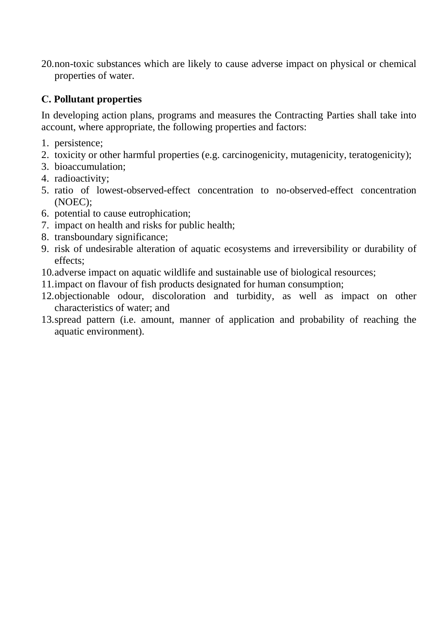20.non-toxic substances which are likely to cause adverse impact on physical or chemical properties of water.

# **С. Pollutant properties**

In developing action plans, programs and measures the Contracting Parties shall take into account, where appropriate, the following properties and factors:

- 1. persistence;
- 2. toxicity or other harmful properties (e.g. carcinogenicity, mutagenicity, teratogenicity);
- 3. bioaccumulation;
- 4. radioactivity;
- 5. ratio of lowest-observed-effect concentration to no-observed-effect concentration (NOEC);
- 6. potential to cause eutrophication;
- 7. impact on health and risks for public health;
- 8. transboundary significance;
- 9. risk of undesirable alteration of aquatic ecosystems and irreversibility or durability of effects;
- 10.adverse impact on aquatic wildlife and sustainable use of biological resources;
- 11.impact on flavour of fish products designated for human consumption;
- 12.objectionable odour, discoloration and turbidity, as well as impact on other characteristics of water; and
- 13.spread pattern (i.e. amount, manner of application and probability of reaching the aquatic environment).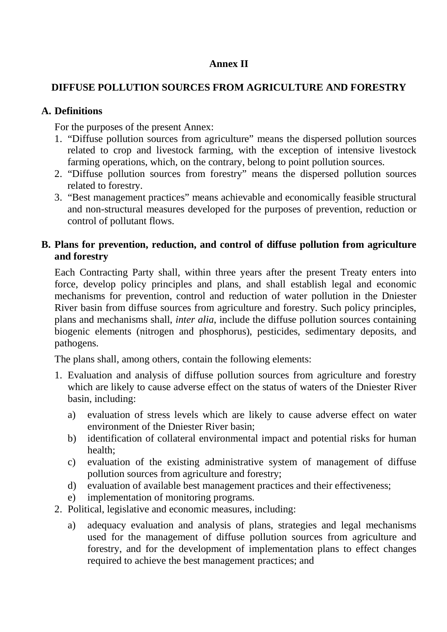### **Annex II**

### **DIFFUSE POLLUTION SOURCES FROM AGRICULTURE AND FORESTRY**

#### **A. Definitions**

For the purposes of the present Annex:

- 1. "Diffuse pollution sources from agriculture" means the dispersed pollution sources related to crop and livestock farming, with the exception of intensive livestock farming operations, which, on the contrary, belong to point pollution sources.
- 2. "Diffuse pollution sources from forestry" means the dispersed pollution sources related to forestry.
- 3. "Best management practices" means achievable and economically feasible structural and non-structural measures developed for the purposes of prevention, reduction or control of pollutant flows.

## **B. Plans for prevention, reduction, and control of diffuse pollution from agriculture and forestry**

Each Contracting Party shall, within three years after the present Treaty enters into force, develop policy principles and plans, and shall establish legal and economic mechanisms for prevention, control and reduction of water pollution in the Dniester River basin from diffuse sources from agriculture and forestry. Such policy principles, plans and mechanisms shall, *inter alia*, include the diffuse pollution sources containing biogenic elements (nitrogen and phosphorus), pesticides, sedimentary deposits, and pathogens.

The plans shall, among others, contain the following elements:

- 1. Evaluation and analysis of diffuse pollution sources from agriculture and forestry which are likely to cause adverse effect on the status of waters of the Dniester River basin, including:
	- a) evaluation of stress levels which are likely to cause adverse effect on water environment of the Dniester River basin;
	- b) identification of collateral environmental impact and potential risks for human health;
	- c) evaluation of the existing administrative system of management of diffuse pollution sources from agriculture and forestry;
	- d) evaluation of available best management practices and their effectiveness;
	- e) implementation of monitoring programs.
- 2. Political, legislative and economic measures, including:
	- a) adequacy evaluation and analysis of plans, strategies and legal mechanisms used for the management of diffuse pollution sources from agriculture and forestry, and for the development of implementation plans to effect changes required to achieve the best management practices; and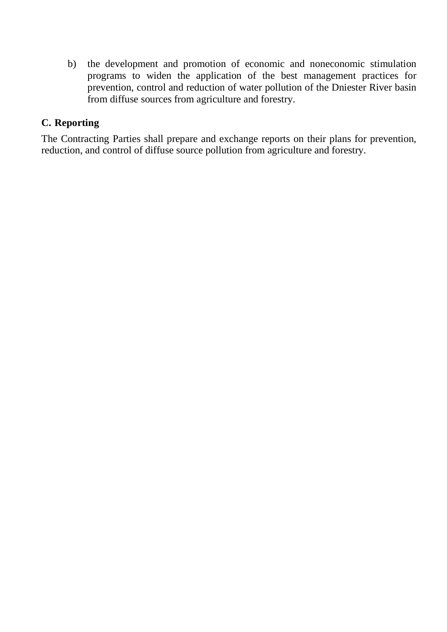b) the development and promotion of economic and noneconomic stimulation programs to widen the application of the best management practices for prevention, control and reduction of water pollution of the Dniester River basin from diffuse sources from agriculture and forestry.

## **C. Reporting**

The Contracting Parties shall prepare and exchange reports on their plans for prevention, reduction, and control of diffuse source pollution from agriculture and forestry.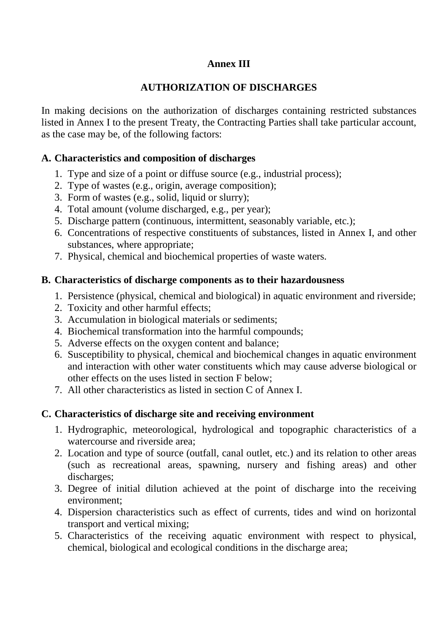## **Annex III**

## **AUTHORIZATION OF DISCHARGES**

In making decisions on the authorization of discharges containing restricted substances listed in Annex I to the present Treaty, the Contracting Parties shall take particular account, as the case may be, of the following factors:

### **A. Characteristics and composition of discharges**

- 1. Type and size of a point or diffuse source (e.g., industrial process);
- 2. Type of wastes (e.g., origin, average composition);
- 3. Form of wastes (e.g., solid, liquid or slurry);
- 4. Total amount (volume discharged, e.g., per year);
- 5. Discharge pattern (continuous, intermittent, seasonably variable, etc.);
- 6. Concentrations of respective constituents of substances, listed in Annex I, and other substances, where appropriate;
- 7. Physical, chemical and biochemical properties of waste waters.

## **B. Characteristics of discharge components as to their hazardousness**

- 1. Persistence (physical, chemical and biological) in aquatic environment and riverside;
- 2. Toxicity and other harmful effects;
- 3. Accumulation in biological materials or sediments;
- 4. Biochemical transformation into the harmful compounds;
- 5. Adverse effects on the oxygen content and balance;
- 6. Susceptibility to physical, chemical and biochemical changes in aquatic environment and interaction with other water constituents which may cause adverse biological or other effects on the uses listed in section F below;
- 7. All other characteristics as listed in section C of Annex I.

# **C. Characteristics of discharge site and receiving environment**

- 1. Hydrographic, meteorological, hydrological and topographic characteristics of a watercourse and riverside area;
- 2. Location and type of source (outfall, canal outlet, etc.) and its relation to other areas (such as recreational areas, spawning, nursery and fishing areas) and other discharges;
- 3. Degree of initial dilution achieved at the point of discharge into the receiving environment;
- 4. Dispersion characteristics such as effect of currents, tides and wind on horizontal transport and vertical mixing;
- 5. Characteristics of the receiving aquatic environment with respect to physical, chemical, biological and ecological conditions in the discharge area;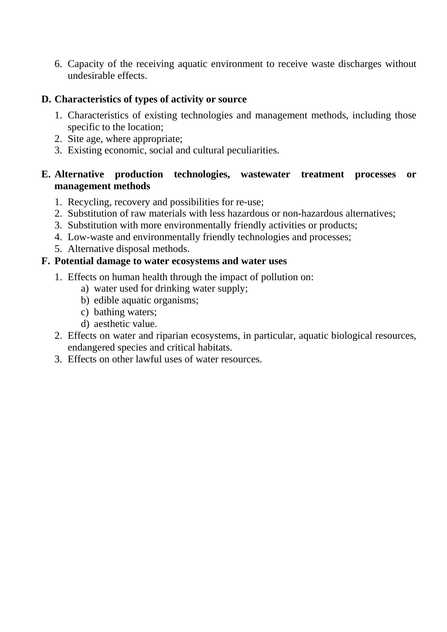6. Capacity of the receiving aquatic environment to receive waste discharges without undesirable effects.

## **D. Characteristics of types of activity or source**

- 1. Characteristics of existing technologies and management methods, including those specific to the location;
- 2. Site age, where appropriate;
- 3. Existing economic, social and cultural peculiarities.

## **E. Alternative production technologies, wastewater treatment processes or management methods**

- 1. Recycling, recovery and possibilities for re-use;
- 2. Substitution of raw materials with less hazardous or non-hazardous alternatives;
- 3. Substitution with more environmentally friendly activities or products;
- 4. Low-waste and environmentally friendly technologies and processes;
- 5. Alternative disposal methods.

## **F. Potential damage to water ecosystems and water uses**

- 1. Effects on human health through the impact of pollution on:
	- a) water used for drinking water supply;
	- b) edible aquatic organisms;
	- c) bathing waters;
	- d) aesthetic value.
- 2. Effects on water and riparian ecosystems, in particular, aquatic biological resources, endangered species and critical habitats.
- 3. Effects on other lawful uses of water resources.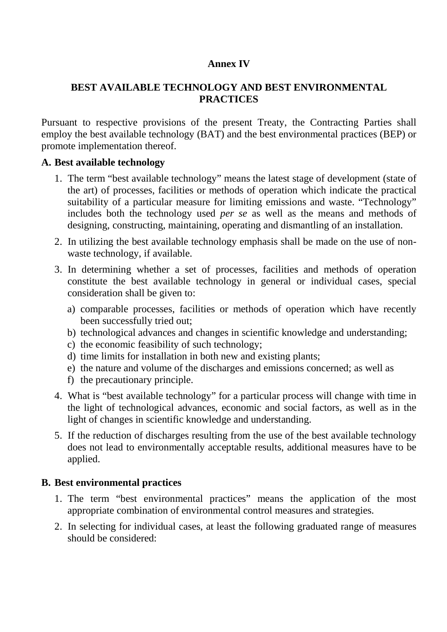#### **Annex IV**

## **BEST AVAILABLE TECHNOLOGY AND BEST ENVIRONMENTAL PRACTICES**

Pursuant to respective provisions of the present Treaty, the Contracting Parties shall employ the best available technology (BAT) and the best environmental practices (BEP) or promote implementation thereof.

#### **A. Best available technology**

- 1. The term "best available technology" means the latest stage of development (state of the art) of processes, facilities or methods of operation which indicate the practical suitability of a particular measure for limiting emissions and waste. "Technology" includes both the technology used *per se* as well as the means and methods of designing, constructing, maintaining, operating and dismantling of an installation.
- 2. In utilizing the best available technology emphasis shall be made on the use of nonwaste technology, if available.
- 3. In determining whether a set of processes, facilities and methods of operation constitute the best available technology in general or individual cases, special consideration shall be given to:
	- a) comparable processes, facilities or methods of operation which have recently been successfully tried out;
	- b) technological advances and changes in scientific knowledge and understanding;
	- c) the economic feasibility of such technology;
	- d) time limits for installation in both new and existing plants;
	- e) the nature and volume of the discharges and emissions concerned; as well as
	- f) the precautionary principle.
- 4. What is "best available technology" for a particular process will change with time in the light of technological advances, economic and social factors, as well as in the light of changes in scientific knowledge and understanding.
- 5. If the reduction of discharges resulting from the use of the best available technology does not lead to environmentally acceptable results, additional measures have to be applied.

### **B. Best environmental practices**

- 1. The term "best environmental practices" means the application of the most appropriate combination of environmental control measures and strategies.
- 2. In selecting for individual cases, at least the following graduated range of measures should be considered: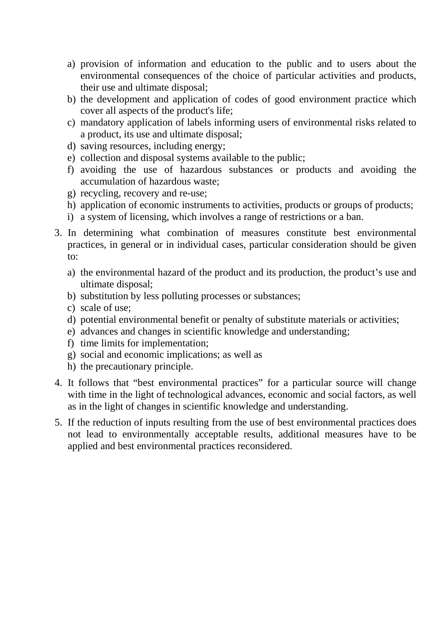- a) provision of information and education to the public and to users about the environmental consequences of the choice of particular activities and products, their use and ultimate disposal;
- b) the development and application of codes of good environment practice which cover all aspects of the product's life;
- c) mandatory application of labels informing users of environmental risks related to a product, its use and ultimate disposal;
- d) saving resources, including energy;
- e) collection and disposal systems available to the public;
- f) avoiding the use of hazardous substances or products and avoiding the accumulation of hazardous waste;
- g) recycling, recovery and re-use;
- h) application of economic instruments to activities, products or groups of products;
- i) a system of licensing, which involves a range of restrictions or a ban.
- 3. In determining what combination of measures constitute best environmental practices, in general or in individual cases, particular consideration should be given to:
	- a) the environmental hazard of the product and its production, the product's use and ultimate disposal;
	- b) substitution by less polluting processes or substances;
	- c) scale of use;
	- d) potential environmental benefit or penalty of substitute materials or activities;
	- e) advances and changes in scientific knowledge and understanding;
	- f) time limits for implementation;
	- g) social and economic implications; as well as
	- h) the precautionary principle.
- 4. It follows that "best environmental practices" for a particular source will change with time in the light of technological advances, economic and social factors, as well as in the light of changes in scientific knowledge and understanding.
- 5. If the reduction of inputs resulting from the use of best environmental practices does not lead to environmentally acceptable results, additional measures have to be applied and best environmental practices reconsidered.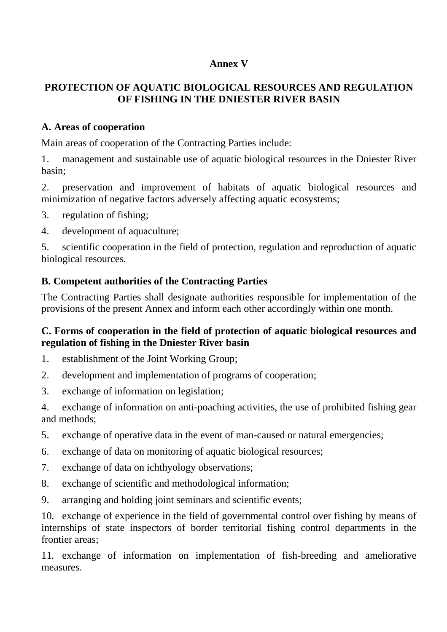## **Annex V**

# **PROTECTION OF AQUATIC BIOLOGICAL RESOURCES AND REGULATION OF FISHING IN THE DNIESTER RIVER BASIN**

### **A. Areas of cooperation**

Main areas of cooperation of the Contracting Parties include:

1. management and sustainable use of aquatic biological resources in the Dniester River basin;

2. preservation and improvement of habitats of aquatic biological resources and minimization of negative factors adversely affecting aquatic ecosystems;

- 3. regulation of fishing;
- 4. development of aquaculture;

5. scientific cooperation in the field of protection, regulation and reproduction of aquatic biological resources.

## **B. Competent authorities of the Contracting Parties**

The Contracting Parties shall designate authorities responsible for implementation of the provisions of the present Annex and inform each other accordingly within one month.

## **C. Forms of cooperation in the field of protection of aquatic biological resources and regulation of fishing in the Dniester River basin**

- 1. establishment of the Joint Working Group;
- 2. development and implementation of programs of cooperation;
- 3. exchange of information on legislation;

4. exchange of information on anti-poaching activities, the use of prohibited fishing gear and methods;

- 5. exchange of operative data in the event of man-caused or natural emergencies;
- 6. exchange of data on monitoring of aquatic biological resources;
- 7. exchange of data on ichthyology observations;
- 8. exchange of scientific and methodological information;
- 9. arranging and holding joint seminars and scientific events;

10. exchange of experience in the field of governmental control over fishing by means of internships of state inspectors of border territorial fishing control departments in the frontier areas;

11. exchange of information on implementation of fish-breeding and ameliorative measures.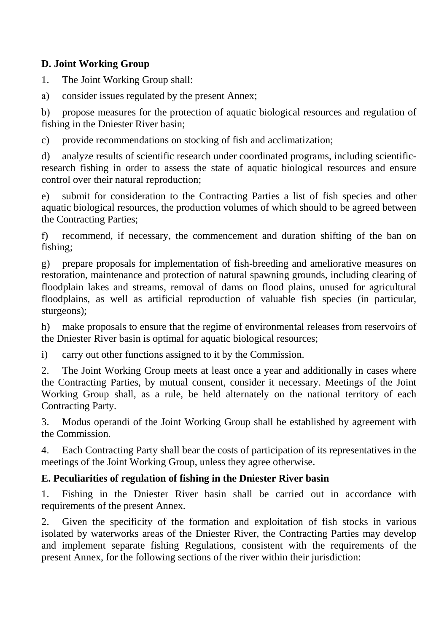# **D. Joint Working Group**

1. The Joint Working Group shall:

а) consider issues regulated by the present Annex;

b) propose measures for the protection of aquatic biological resources and regulation of fishing in the Dniester River basin;

c) provide recommendations on stocking of fish and acclimatization;

d) analyze results of scientific research under coordinated programs, including scientificresearch fishing in order to assess the state of aquatic biological resources and ensure control over their natural reproduction;

e) submit for consideration to the Contracting Parties a list of fish species and other aquatic biological resources, the production volumes of which should to be agreed between the Contracting Parties;

f) recommend, if necessary, the commencement and duration shifting of the ban on fishing;

g) prepare proposals for implementation of fish-breeding and ameliorative measures on restoration, maintenance and protection of natural spawning grounds, including clearing of floodplain lakes and streams, removal of dams on flood plains, unused for agricultural floodplains, as well as artificial reproduction of valuable fish species (in particular, sturgeons);

h) make proposals to ensure that the regime of environmental releases from reservoirs of the Dniester River basin is optimal for aquatic biological resources;

i) carry out other functions assigned to it by the Commission.

2. The Joint Working Group meets at least once a year and additionally in cases where the Contracting Parties, by mutual consent, consider it necessary. Meetings of the Joint Working Group shall, as a rule, be held alternately on the national territory of each Contracting Party.

3. Modus operandi of the Joint Working Group shall be established by agreement with the Commission.

4. Each Contracting Party shall bear the costs of participation of its representatives in the meetings of the Joint Working Group, unless they agree otherwise.

# **E. Peculiarities of regulation of fishing in the Dniester River basin**

1. Fishing in the Dniester River basin shall be carried out in accordance with requirements of the present Annex.

2. Given the specificity of the formation and exploitation of fish stocks in various isolated by waterworks areas of the Dniester River, the Contracting Parties may develop and implement separate fishing Regulations, consistent with the requirements of the present Annex, for the following sections of the river within their jurisdiction: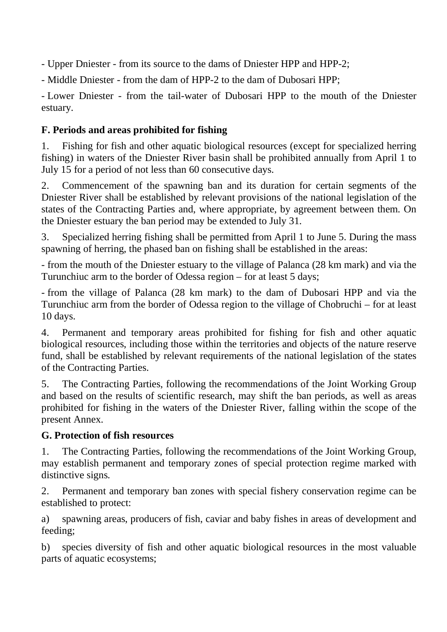- Upper Dniester - from its source to the dams of Dniester HPP and HPP-2;

- Middle Dniester - from the dam of HPP-2 to the dam of Dubosari HPP;

- Lower Dniester - from the tail-water of Dubosari HPP to the mouth of the Dniester estuary.

# **F. Periods and areas prohibited for fishing**

1. Fishing for fish and other aquatic biological resources (except for specialized herring fishing) in waters of the Dniester River basin shall be prohibited annually from April 1 to July 15 for a period of not less than 60 consecutive days.

2. Commencement of the spawning ban and its duration for certain segments of the Dniester River shall be established by relevant provisions of the national legislation of the states of the Contracting Parties and, where appropriate, by agreement between them. On the Dniester estuary the ban period may be extended to July 31.

3. Specialized herring fishing shall be permitted from April 1 to June 5. During the mass spawning of herring, the phased ban on fishing shall be established in the areas:

- from the mouth of the Dniester estuary to the village of Palanca (28 km mark) and via the Turunchiuc arm to the border of Odessa region – for at least 5 days;

- from the village of Palanca (28 km mark) to the dam of Dubosari HPP and via the Turunchiuc arm from the border of Odessa region to the village of Chobruchi – for at least 10 days.

4. Permanent and temporary areas prohibited for fishing for fish and other aquatic biological resources, including those within the territories and objects of the nature reserve fund, shall be established by relevant requirements of the national legislation of the states of the Contracting Parties.

5. The Contracting Parties, following the recommendations of the Joint Working Group and based on the results of scientific research, may shift the ban periods, as well as areas prohibited for fishing in the waters of the Dniester River, falling within the scope of the present Annex.

# **G. Protection of fish resources**

1. The Contracting Parties, following the recommendations of the Joint Working Group, may establish permanent and temporary zones of special protection regime marked with distinctive signs.

2. Permanent and temporary ban zones with special fishery conservation regime can be established to protect:

a) spawning areas, producers of fish, caviar and baby fishes in areas of development and feeding;

b) species diversity of fish and other aquatic biological resources in the most valuable parts of aquatic ecosystems;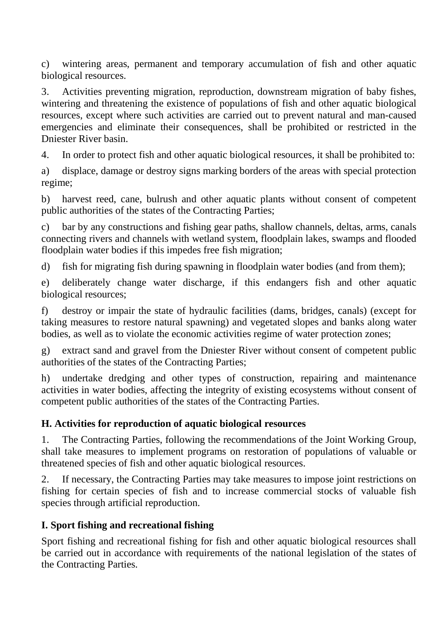c) wintering areas, permanent and temporary accumulation of fish and other aquatic biological resources.

3. Activities preventing migration, reproduction, downstream migration of baby fishes, wintering and threatening the existence of populations of fish and other aquatic biological resources, except where such activities are carried out to prevent natural and man-caused emergencies and eliminate their consequences, shall be prohibited or restricted in the Dniester River basin.

4. In order to protect fish and other aquatic biological resources, it shall be prohibited to:

a) displace, damage or destroy signs marking borders of the areas with special protection regime;

b) harvest reed, cane, bulrush and other aquatic plants without consent of competent public authorities of the states of the Contracting Parties;

c) bar by any constructions and fishing gear paths, shallow channels, deltas, arms, canals connecting rivers and channels with wetland system, floodplain lakes, swamps and flooded floodplain water bodies if this impedes free fish migration;

d) fish for migrating fish during spawning in floodplain water bodies (and from them);

e) deliberately change water discharge, if this endangers fish and other aquatic biological resources;

f) destroy or impair the state of hydraulic facilities (dams, bridges, canals) (except for taking measures to restore natural spawning) and vegetated slopes and banks along water bodies, as well as to violate the economic activities regime of water protection zones;

g) extract sand and gravel from the Dniester River without consent of competent public authorities of the states of the Contracting Parties;

h) undertake dredging and other types of construction, repairing and maintenance activities in water bodies, affecting the integrity of existing ecosystems without consent of competent public authorities of the states of the Contracting Parties.

# **H. Activities for reproduction of aquatic biological resources**

1. The Contracting Parties, following the recommendations of the Joint Working Group, shall take measures to implement programs on restoration of populations of valuable or threatened species of fish and other aquatic biological resources.

2. If necessary, the Contracting Parties may take measures to impose joint restrictions on fishing for certain species of fish and to increase commercial stocks of valuable fish species through artificial reproduction.

# **I. Sport fishing and recreational fishing**

Sport fishing and recreational fishing for fish and other aquatic biological resources shall be carried out in accordance with requirements of the national legislation of the states of the Contracting Parties.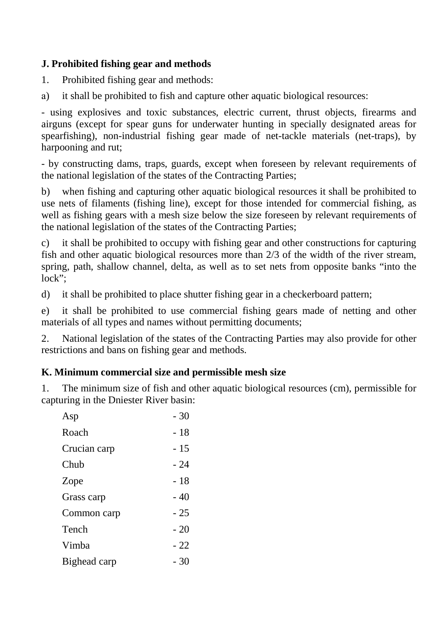## **J. Prohibited fishing gear and methods**

- 1. Prohibited fishing gear and methods:
- а) it shall be prohibited to fish and capture other aquatic biological resources:

- using explosives and toxic substances, electric current, thrust objects, firearms and airguns (except for spear guns for underwater hunting in specially designated areas for spearfishing), non-industrial fishing gear made of net-tackle materials (net-traps), by harpooning and rut;

- by constructing dams, traps, guards, except when foreseen by relevant requirements of the national legislation of the states of the Contracting Parties;

b) when fishing and capturing other aquatic biological resources it shall be prohibited to use nets of filaments (fishing line), except for those intended for commercial fishing, as well as fishing gears with a mesh size below the size foreseen by relevant requirements of the national legislation of the states of the Contracting Parties;

c) it shall be prohibited to occupy with fishing gear and other constructions for capturing fish and other aquatic biological resources more than 2/3 of the width of the river stream, spring, path, shallow channel, delta, as well as to set nets from opposite banks "into the lock";

d) it shall be prohibited to place shutter fishing gear in a checkerboard pattern;

e) it shall be prohibited to use commercial fishing gears made of netting and other materials of all types and names without permitting documents;

2. National legislation of the states of the Contracting Parties may also provide for other restrictions and bans on fishing gear and methods.

# **K. Minimum commercial size and permissible mesh size**

1. The minimum size of fish and other aquatic biological resources (cm), permissible for capturing in the Dniester River basin:

| Asp          | $-30$ |
|--------------|-------|
| Roach        | - 18  |
| Crucian carp | - 15  |
| Chub         | - 24  |
| Zope         | - 18  |
| Grass carp   | $-40$ |
| Common carp  | $-25$ |
| Tench        | $-20$ |
| Vimba        | $-22$ |
| Bighead carp | - 30  |
|              |       |